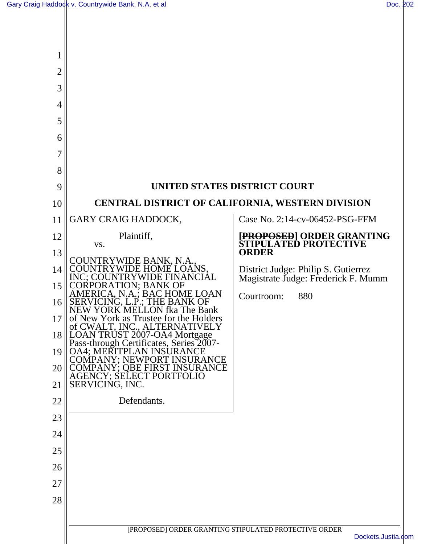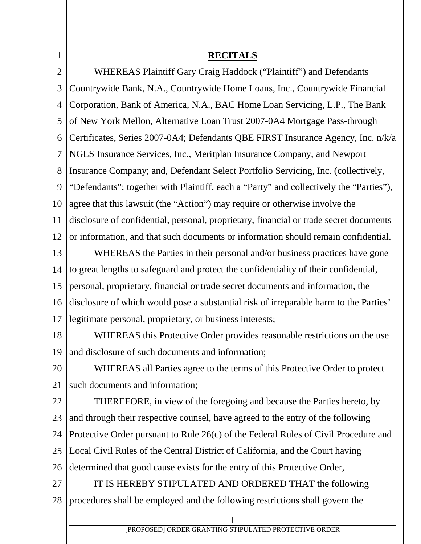| $\mathbf 1$    | <b>RECITALS</b>                                                                        |
|----------------|----------------------------------------------------------------------------------------|
| $\overline{2}$ | WHEREAS Plaintiff Gary Craig Haddock ("Plaintiff") and Defendants                      |
| 3              | Countrywide Bank, N.A., Countrywide Home Loans, Inc., Countrywide Financial            |
| $\overline{4}$ | Corporation, Bank of America, N.A., BAC Home Loan Servicing, L.P., The Bank            |
| 5              | of New York Mellon, Alternative Loan Trust 2007-0A4 Mortgage Pass-through              |
| 6              | Certificates, Series 2007-0A4; Defendants QBE FIRST Insurance Agency, Inc. n/k/a       |
| $\overline{7}$ | NGLS Insurance Services, Inc., Meritplan Insurance Company, and Newport                |
| 8              | Insurance Company; and, Defendant Select Portfolio Servicing, Inc. (collectively,      |
| 9              | "Defendants"; together with Plaintiff, each a "Party" and collectively the "Parties"), |
| 10             | agree that this lawsuit (the "Action") may require or otherwise involve the            |
| 11             | disclosure of confidential, personal, proprietary, financial or trade secret documents |
| 12             | or information, and that such documents or information should remain confidential.     |
| 13             | WHEREAS the Parties in their personal and/or business practices have gone              |
| 14             | to great lengths to safeguard and protect the confidentiality of their confidential,   |
| 15             | personal, proprietary, financial or trade secret documents and information, the        |
| 16             | disclosure of which would pose a substantial risk of irreparable harm to the Parties'  |
| 17             | legitimate personal, proprietary, or business interests;                               |
| 18             | WHEREAS this Protective Order provides reasonable restrictions on the use              |
| 19             | and disclosure of such documents and information;                                      |
| 20             | WHEREAS all Parties agree to the terms of this Protective Order to protect             |
| 21             | such documents and information;                                                        |
| 22             | THEREFORE, in view of the foregoing and because the Parties hereto, by                 |
| 23             | and through their respective counsel, have agreed to the entry of the following        |
| 24             | Protective Order pursuant to Rule 26(c) of the Federal Rules of Civil Procedure and    |
| 25             | Local Civil Rules of the Central District of California, and the Court having          |
| 26             | determined that good cause exists for the entry of this Protective Order,              |
| 27             | IT IS HEREBY STIPULATED AND ORDERED THAT the following                                 |
| 28             | procedures shall be employed and the following restrictions shall govern the           |
|                |                                                                                        |

[PROPOSED] ORDER GRANTING STIPULATED PROTECTIVE ORDER

 $\mathbb{I}$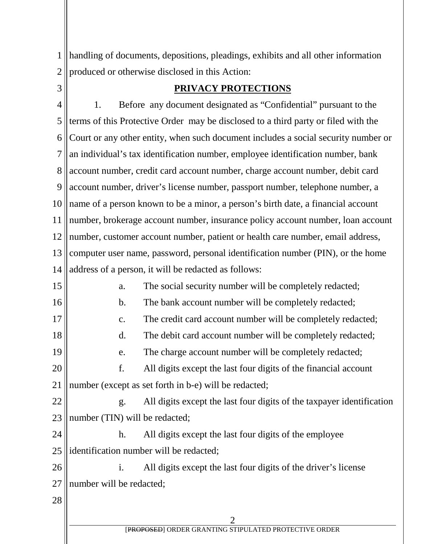1 2 handling of documents, depositions, pleadings, exhibits and all other information produced or otherwise disclosed in this Action:

3

## **PRIVACY PROTECTIONS**

4 5 6 7 8 9 10 11 12 13 14 15 16 17 18 19 20 21 22 23 24 25 26 27 28 2 1. Before any document designated as "Confidential" pursuant to the terms of this Protective Order may be disclosed to a third party or filed with the Court or any other entity, when such document includes a social security number or an individual's tax identification number, employee identification number, bank account number, credit card account number, charge account number, debit card account number, driver's license number, passport number, telephone number, a name of a person known to be a minor, a person's birth date, a financial account number, brokerage account number, insurance policy account number, loan account number, customer account number, patient or health care number, email address, computer user name, password, personal identification number (PIN), or the home address of a person, it will be redacted as follows: a. The social security number will be completely redacted; b. The bank account number will be completely redacted; c. The credit card account number will be completely redacted; d. The debit card account number will be completely redacted; e. The charge account number will be completely redacted; f. All digits except the last four digits of the financial account number (except as set forth in b-e) will be redacted; g. All digits except the last four digits of the taxpayer identification number (TIN) will be redacted; h. All digits except the last four digits of the employee identification number will be redacted; i. All digits except the last four digits of the driver's license number will be redacted;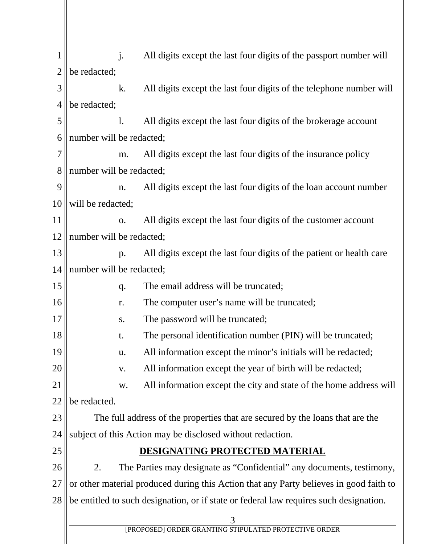1 2 3 4 5 6 7 8 9 10 11 12 13 14 15 16 17 18 19 20 21 22 23 24 25 26 27 28 3 [PROPOSED] ORDER GRANTING STIPULATED PROTECTIVE ORDER j. All digits except the last four digits of the passport number will be redacted; k. All digits except the last four digits of the telephone number will be redacted; l. All digits except the last four digits of the brokerage account number will be redacted; m. All digits except the last four digits of the insurance policy number will be redacted; n. All digits except the last four digits of the loan account number will be redacted; o. All digits except the last four digits of the customer account number will be redacted; p. All digits except the last four digits of the patient or health care number will be redacted; q. The email address will be truncated; r. The computer user's name will be truncated; s. The password will be truncated; t. The personal identification number (PIN) will be truncated; u. All information except the minor's initials will be redacted; v. All information except the year of birth will be redacted; w. All information except the city and state of the home address will be redacted. The full address of the properties that are secured by the loans that are the subject of this Action may be disclosed without redaction. **DESIGNATING PROTECTED MATERIAL** 2. The Parties may designate as "Confidential" any documents, testimony, or other material produced during this Action that any Party believes in good faith to be entitled to such designation, or if state or federal law requires such designation.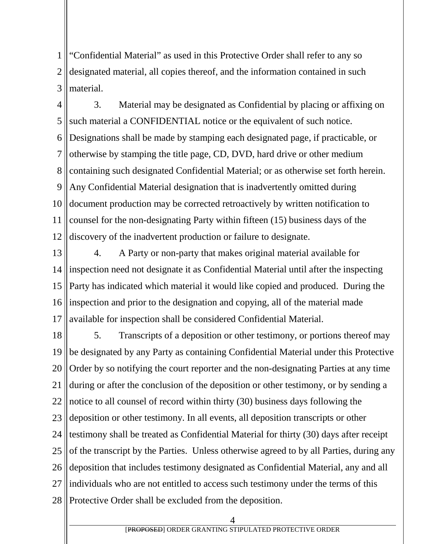1 2 3 "Confidential Material" as used in this Protective Order shall refer to any so designated material, all copies thereof, and the information contained in such material.

4 5 6 7 8 9 10 11 12 3. Material may be designated as Confidential by placing or affixing on such material a CONFIDENTIAL notice or the equivalent of such notice. Designations shall be made by stamping each designated page, if practicable, or otherwise by stamping the title page, CD, DVD, hard drive or other medium containing such designated Confidential Material; or as otherwise set forth herein. Any Confidential Material designation that is inadvertently omitted during document production may be corrected retroactively by written notification to counsel for the non-designating Party within fifteen (15) business days of the discovery of the inadvertent production or failure to designate.

13 14 15 16 17 4. A Party or non-party that makes original material available for inspection need not designate it as Confidential Material until after the inspecting Party has indicated which material it would like copied and produced. During the inspection and prior to the designation and copying, all of the material made available for inspection shall be considered Confidential Material.

18 19 20 21 22 23 24 25 26 27 28 5. Transcripts of a deposition or other testimony, or portions thereof may be designated by any Party as containing Confidential Material under this Protective Order by so notifying the court reporter and the non-designating Parties at any time during or after the conclusion of the deposition or other testimony, or by sending a notice to all counsel of record within thirty (30) business days following the deposition or other testimony. In all events, all deposition transcripts or other testimony shall be treated as Confidential Material for thirty (30) days after receipt of the transcript by the Parties. Unless otherwise agreed to by all Parties, during any deposition that includes testimony designated as Confidential Material, any and all individuals who are not entitled to access such testimony under the terms of this Protective Order shall be excluded from the deposition.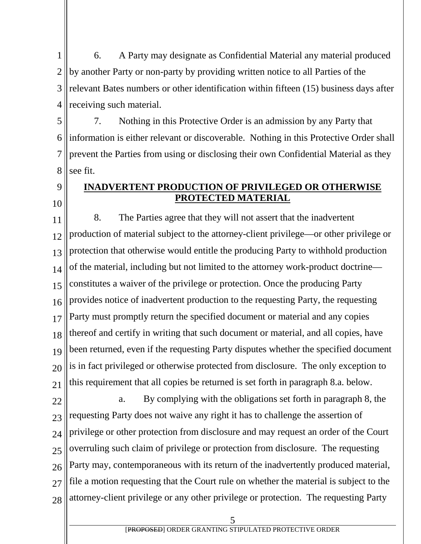1 2 3 4 6. A Party may designate as Confidential Material any material produced by another Party or non-party by providing written notice to all Parties of the relevant Bates numbers or other identification within fifteen (15) business days after receiving such material.

5 6 7 8 7. Nothing in this Protective Order is an admission by any Party that information is either relevant or discoverable. Nothing in this Protective Order shall prevent the Parties from using or disclosing their own Confidential Material as they see fit.

# 9

10

## **INADVERTENT PRODUCTION OF PRIVILEGED OR OTHERWISE PROTECTED MATERIAL**

11 12 13 14 15 16 17 18 19 20 21 8. The Parties agree that they will not assert that the inadvertent production of material subject to the attorney-client privilege—or other privilege or protection that otherwise would entitle the producing Party to withhold production of the material, including but not limited to the attorney work-product doctrine constitutes a waiver of the privilege or protection. Once the producing Party provides notice of inadvertent production to the requesting Party, the requesting Party must promptly return the specified document or material and any copies thereof and certify in writing that such document or material, and all copies, have been returned, even if the requesting Party disputes whether the specified document is in fact privileged or otherwise protected from disclosure. The only exception to this requirement that all copies be returned is set forth in paragraph 8.a. below.

22 23 24 25 26 27 28 a. By complying with the obligations set forth in paragraph 8, the requesting Party does not waive any right it has to challenge the assertion of privilege or other protection from disclosure and may request an order of the Court overruling such claim of privilege or protection from disclosure. The requesting Party may, contemporaneous with its return of the inadvertently produced material, file a motion requesting that the Court rule on whether the material is subject to the attorney-client privilege or any other privilege or protection. The requesting Party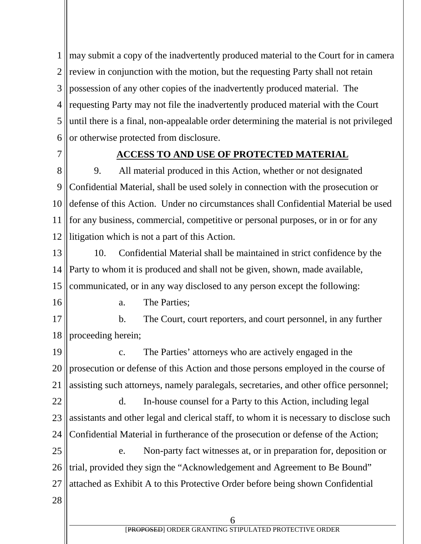1 2 3 4 5 6 may submit a copy of the inadvertently produced material to the Court for in camera review in conjunction with the motion, but the requesting Party shall not retain possession of any other copies of the inadvertently produced material. The requesting Party may not file the inadvertently produced material with the Court until there is a final, non-appealable order determining the material is not privileged or otherwise protected from disclosure.

7

#### **ACCESS TO AND USE OF PROTECTED MATERIAL**

8 9 10 11 12 9. All material produced in this Action, whether or not designated Confidential Material, shall be used solely in connection with the prosecution or defense of this Action. Under no circumstances shall Confidential Material be used for any business, commercial, competitive or personal purposes, or in or for any litigation which is not a part of this Action.

13 14 15 10. Confidential Material shall be maintained in strict confidence by the Party to whom it is produced and shall not be given, shown, made available, communicated, or in any way disclosed to any person except the following:

16

a. The Parties;

17 18 b. The Court, court reporters, and court personnel, in any further proceeding herein;

19 20 21 c. The Parties' attorneys who are actively engaged in the prosecution or defense of this Action and those persons employed in the course of assisting such attorneys, namely paralegals, secretaries, and other office personnel;

22 23 24 d. In-house counsel for a Party to this Action, including legal assistants and other legal and clerical staff, to whom it is necessary to disclose such Confidential Material in furtherance of the prosecution or defense of the Action;

25 26 27 e. Non-party fact witnesses at, or in preparation for, deposition or trial, provided they sign the "Acknowledgement and Agreement to Be Bound" attached as Exhibit A to this Protective Order before being shown Confidential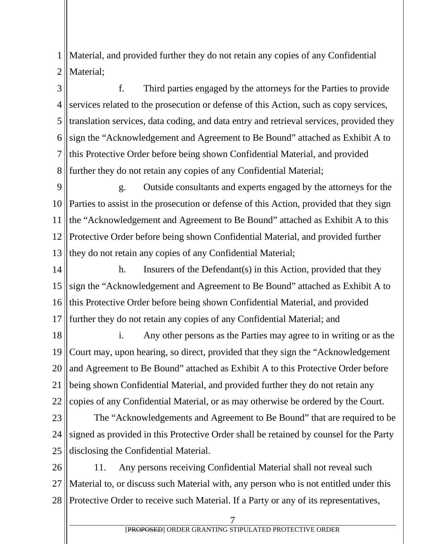1 2 Material, and provided further they do not retain any copies of any Confidential Material;

3 4 5 6 7 8 f. Third parties engaged by the attorneys for the Parties to provide services related to the prosecution or defense of this Action, such as copy services, translation services, data coding, and data entry and retrieval services, provided they sign the "Acknowledgement and Agreement to Be Bound" attached as Exhibit A to this Protective Order before being shown Confidential Material, and provided further they do not retain any copies of any Confidential Material;

9 10 11 12 13 g. Outside consultants and experts engaged by the attorneys for the Parties to assist in the prosecution or defense of this Action, provided that they sign the "Acknowledgement and Agreement to Be Bound" attached as Exhibit A to this Protective Order before being shown Confidential Material, and provided further they do not retain any copies of any Confidential Material;

14 15 16 17 h. Insurers of the Defendant(s) in this Action, provided that they sign the "Acknowledgement and Agreement to Be Bound" attached as Exhibit A to this Protective Order before being shown Confidential Material, and provided further they do not retain any copies of any Confidential Material; and

18 19 20 21 22 i. Any other persons as the Parties may agree to in writing or as the Court may, upon hearing, so direct, provided that they sign the "Acknowledgement and Agreement to Be Bound" attached as Exhibit A to this Protective Order before being shown Confidential Material, and provided further they do not retain any copies of any Confidential Material, or as may otherwise be ordered by the Court.

23 24 25 The "Acknowledgements and Agreement to Be Bound" that are required to be signed as provided in this Protective Order shall be retained by counsel for the Party disclosing the Confidential Material.

26 27 28 11. Any persons receiving Confidential Material shall not reveal such Material to, or discuss such Material with, any person who is not entitled under this Protective Order to receive such Material. If a Party or any of its representatives,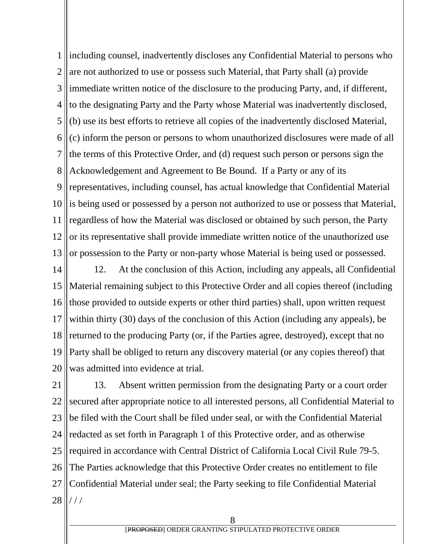1 2 3 4 5 6 7 8 9 10 11 12 13 including counsel, inadvertently discloses any Confidential Material to persons who are not authorized to use or possess such Material, that Party shall (a) provide immediate written notice of the disclosure to the producing Party, and, if different, to the designating Party and the Party whose Material was inadvertently disclosed, (b) use its best efforts to retrieve all copies of the inadvertently disclosed Material, (c) inform the person or persons to whom unauthorized disclosures were made of all the terms of this Protective Order, and (d) request such person or persons sign the Acknowledgement and Agreement to Be Bound. If a Party or any of its representatives, including counsel, has actual knowledge that Confidential Material is being used or possessed by a person not authorized to use or possess that Material, regardless of how the Material was disclosed or obtained by such person, the Party or its representative shall provide immediate written notice of the unauthorized use or possession to the Party or non-party whose Material is being used or possessed.

14 15 16 17 18 19 20 12. At the conclusion of this Action, including any appeals, all Confidential Material remaining subject to this Protective Order and all copies thereof (including those provided to outside experts or other third parties) shall, upon written request within thirty (30) days of the conclusion of this Action (including any appeals), be returned to the producing Party (or, if the Parties agree, destroyed), except that no Party shall be obliged to return any discovery material (or any copies thereof) that was admitted into evidence at trial.

21 22 23 24 25 26 27 28 13. Absent written permission from the designating Party or a court order secured after appropriate notice to all interested persons, all Confidential Material to be filed with the Court shall be filed under seal, or with the Confidential Material redacted as set forth in Paragraph 1 of this Protective order, and as otherwise required in accordance with Central District of California Local Civil Rule 79-5. The Parties acknowledge that this Protective Order creates no entitlement to file Confidential Material under seal; the Party seeking to file Confidential Material / / /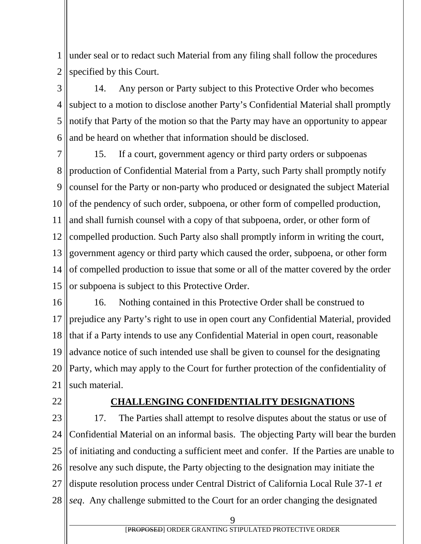1 2 under seal or to redact such Material from any filing shall follow the procedures specified by this Court.

3 4 5 6 14. Any person or Party subject to this Protective Order who becomes subject to a motion to disclose another Party's Confidential Material shall promptly notify that Party of the motion so that the Party may have an opportunity to appear and be heard on whether that information should be disclosed.

7 8 9 10 11 12 13 14 15 15. If a court, government agency or third party orders or subpoenas production of Confidential Material from a Party, such Party shall promptly notify counsel for the Party or non-party who produced or designated the subject Material of the pendency of such order, subpoena, or other form of compelled production, and shall furnish counsel with a copy of that subpoena, order, or other form of compelled production. Such Party also shall promptly inform in writing the court, government agency or third party which caused the order, subpoena, or other form of compelled production to issue that some or all of the matter covered by the order or subpoena is subject to this Protective Order.

16 17 18 19 20 21 16. Nothing contained in this Protective Order shall be construed to prejudice any Party's right to use in open court any Confidential Material, provided that if a Party intends to use any Confidential Material in open court, reasonable advance notice of such intended use shall be given to counsel for the designating Party, which may apply to the Court for further protection of the confidentiality of such material.

22

#### **CHALLENGING CONFIDENTIALITY DESIGNATIONS**

23 24 25 26 27 28 17. The Parties shall attempt to resolve disputes about the status or use of Confidential Material on an informal basis. The objecting Party will bear the burden of initiating and conducting a sufficient meet and confer. If the Parties are unable to resolve any such dispute, the Party objecting to the designation may initiate the dispute resolution process under Central District of California Local Rule 37-1 *et seq*. Any challenge submitted to the Court for an order changing the designated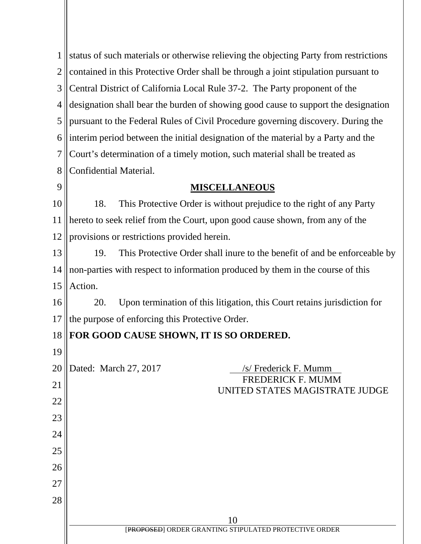| 1              | status of such materials or otherwise relieving the objecting Party from restrictions |
|----------------|---------------------------------------------------------------------------------------|
| $\overline{2}$ | contained in this Protective Order shall be through a joint stipulation pursuant to   |
| 3              | Central District of California Local Rule 37-2. The Party proponent of the            |
| $\overline{4}$ | designation shall bear the burden of showing good cause to support the designation    |
| 5              | pursuant to the Federal Rules of Civil Procedure governing discovery. During the      |
| 6              | interim period between the initial designation of the material by a Party and the     |
| 7              | Court's determination of a timely motion, such material shall be treated as           |
| 8              | Confidential Material.                                                                |
| 9              | <b>MISCELLANEOUS</b>                                                                  |
| 10             | This Protective Order is without prejudice to the right of any Party<br>18.           |
| 11             | hereto to seek relief from the Court, upon good cause shown, from any of the          |
| 12             | provisions or restrictions provided herein.                                           |
| 13             | This Protective Order shall inure to the benefit of and be enforceable by<br>19.      |
| 14             | non-parties with respect to information produced by them in the course of this        |
| 15             | Action.                                                                               |
| 16             | Upon termination of this litigation, this Court retains jurisdiction for<br>20.       |
| 17             | the purpose of enforcing this Protective Order.                                       |
| 18             | FOR GOOD CAUSE SHOWN, IT IS SO ORDERED.                                               |
| 19             |                                                                                       |
| 20             | Dated: March 27, 2017<br>/s/ Frederick F. Mumm                                        |
| 21             | <b>FREDERICK F. MUMM</b><br>UNITED STATES MAGISTRATE JUDGE                            |
| 22             |                                                                                       |
| 23             |                                                                                       |
| 24             |                                                                                       |
| 25             |                                                                                       |
| 26             |                                                                                       |
| 27             |                                                                                       |
| 28             |                                                                                       |
|                | 10<br>[PROPOSED] ORDER GRANTING STIPULATED PROTECTIVE ORDER                           |
|                |                                                                                       |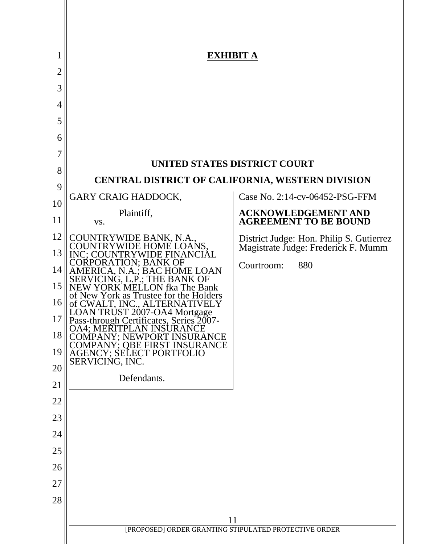